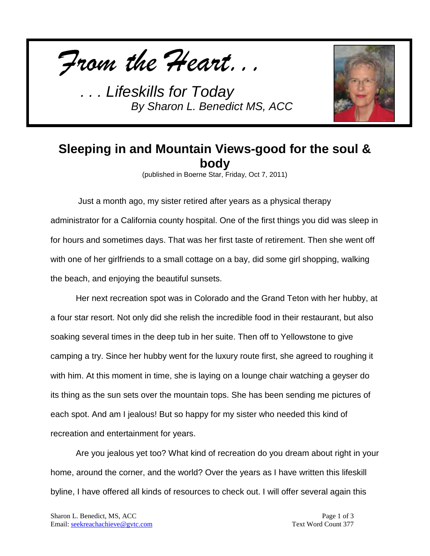



## **Sleeping in and Mountain Views-good for the soul & body**

(published in Boerne Star, Friday, Oct 7, 2011)

Just a month ago, my sister retired after years as a physical therapy administrator for a California county hospital. One of the first things you did was sleep in for hours and sometimes days. That was her first taste of retirement. Then she went off with one of her girlfriends to a small cottage on a bay, did some girl shopping, walking the beach, and enjoying the beautiful sunsets.

Her next recreation spot was in Colorado and the Grand Teton with her hubby, at a four star resort. Not only did she relish the incredible food in their restaurant, but also soaking several times in the deep tub in her suite. Then off to Yellowstone to give camping a try. Since her hubby went for the luxury route first, she agreed to roughing it with him. At this moment in time, she is laying on a lounge chair watching a geyser do its thing as the sun sets over the mountain tops. She has been sending me pictures of each spot. And am I jealous! But so happy for my sister who needed this kind of recreation and entertainment for years.

Are you jealous yet too? What kind of recreation do you dream about right in your home, around the corner, and the world? Over the years as I have written this lifeskill byline, I have offered all kinds of resources to check out. I will offer several again this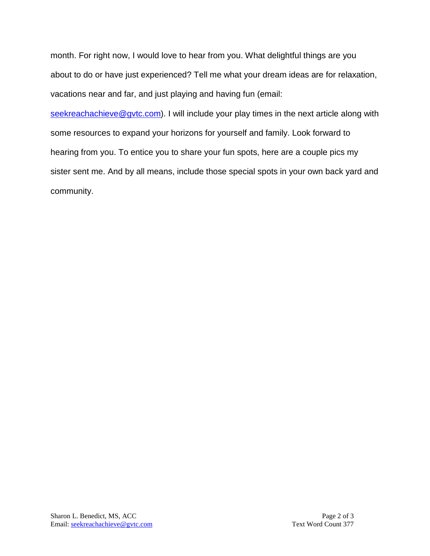month. For right now, I would love to hear from you. What delightful things are you about to do or have just experienced? Tell me what your dream ideas are for relaxation, vacations near and far, and just playing and having fun (email:

[seekreachachieve@gvtc.com\)](mailto:seekreachachieve@gvtc.com). I will include your play times in the next article along with some resources to expand your horizons for yourself and family. Look forward to hearing from you. To entice you to share your fun spots, here are a couple pics my sister sent me. And by all means, include those special spots in your own back yard and community.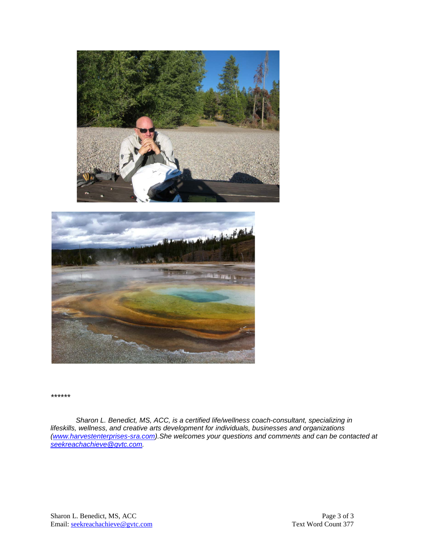



*\*\*\*\*\*\**

*Sharon L. Benedict, MS, ACC, is a certified life/wellness coach-consultant, specializing in lifeskills, wellness, and creative arts development for individuals, businesses and organizations [\(www.harvestenterprises-sra.com\)](http://www.harvestenterprises-sra.com/).She welcomes your questions and comments and can be contacted at [seekreachachieve@gvtc.com.](mailto:seekreachachieve@gvtc.com)*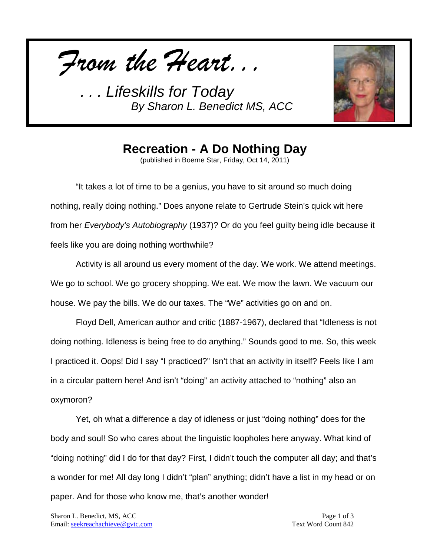*From the Heart...*



**Recreation - A Do Nothing Day**

(published in Boerne Star, Friday, Oct 14, 2011)

"It takes a lot of time to be a genius, you have to sit around so much doing nothing, really doing nothing." Does anyone relate to Gertrude Stein's quick wit here from her *Everybody's Autobiography* (1937)? Or do you feel guilty being idle because it feels like you are doing nothing worthwhile?

Activity is all around us every moment of the day. We work. We attend meetings. We go to school. We go grocery shopping. We eat. We mow the lawn. We vacuum our house. We pay the bills. We do our taxes. The "We" activities go on and on.

Floyd Dell, American author and critic (1887-1967), declared that "Idleness is not doing nothing. Idleness is being free to do anything." Sounds good to me. So, this week I practiced it. Oops! Did I say "I practiced?" Isn't that an activity in itself? Feels like I am in a circular pattern here! And isn't "doing" an activity attached to "nothing" also an oxymoron?

Yet, oh what a difference a day of idleness or just "doing nothing" does for the body and soul! So who cares about the linguistic loopholes here anyway. What kind of "doing nothing" did I do for that day? First, I didn't touch the computer all day; and that's a wonder for me! All day long I didn't "plan" anything; didn't have a list in my head or on paper. And for those who know me, that's another wonder!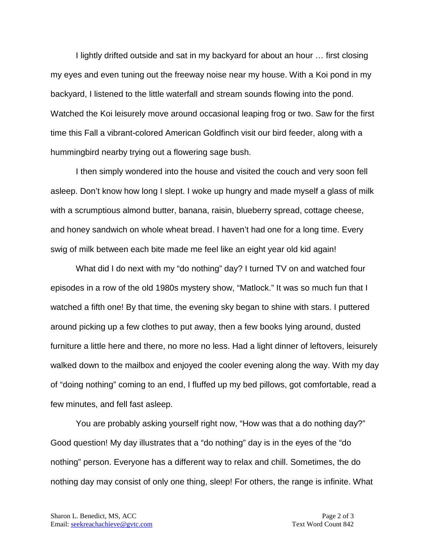I lightly drifted outside and sat in my backyard for about an hour … first closing my eyes and even tuning out the freeway noise near my house. With a Koi pond in my backyard, I listened to the little waterfall and stream sounds flowing into the pond. Watched the Koi leisurely move around occasional leaping frog or two. Saw for the first time this Fall a vibrant-colored American Goldfinch visit our bird feeder, along with a hummingbird nearby trying out a flowering sage bush.

I then simply wondered into the house and visited the couch and very soon fell asleep. Don't know how long I slept. I woke up hungry and made myself a glass of milk with a scrumptious almond butter, banana, raisin, blueberry spread, cottage cheese, and honey sandwich on whole wheat bread. I haven't had one for a long time. Every swig of milk between each bite made me feel like an eight year old kid again!

What did I do next with my "do nothing" day? I turned TV on and watched four episodes in a row of the old 1980s mystery show, "Matlock." It was so much fun that I watched a fifth one! By that time, the evening sky began to shine with stars. I puttered around picking up a few clothes to put away, then a few books lying around, dusted furniture a little here and there, no more no less. Had a light dinner of leftovers, leisurely walked down to the mailbox and enjoyed the cooler evening along the way. With my day of "doing nothing" coming to an end, I fluffed up my bed pillows, got comfortable, read a few minutes, and fell fast asleep.

You are probably asking yourself right now, "How was that a do nothing day?" Good question! My day illustrates that a "do nothing" day is in the eyes of the "do nothing" person. Everyone has a different way to relax and chill. Sometimes, the do nothing day may consist of only one thing, sleep! For others, the range is infinite. What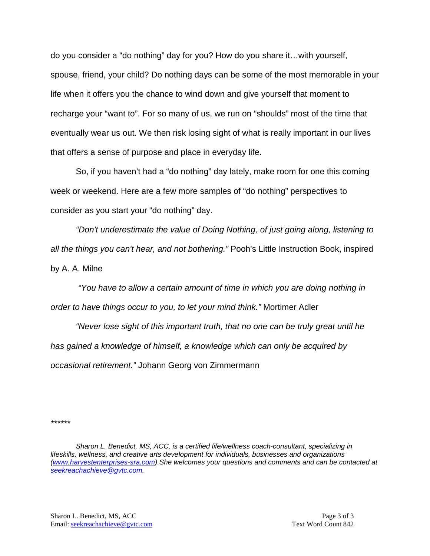do you consider a "do nothing" day for you? How do you share it…with yourself, spouse, friend, your child? Do nothing days can be some of the most memorable in your life when it offers you the chance to wind down and give yourself that moment to recharge your "want to". For so many of us, we run on "shoulds" most of the time that eventually wear us out. We then risk losing sight of what is really important in our lives that offers a sense of purpose and place in everyday life.

So, if you haven't had a "do nothing" day lately, make room for one this coming week or weekend. Here are a few more samples of "do nothing" perspectives to consider as you start your "do nothing" day.

*"Don't underestimate the value of Doing Nothing, of just going along, listening to all the things you can't hear, and not bothering."* Pooh's Little Instruction Book, inspired by A. A. Milne

*"You have to allow a certain amount of time in which you are doing nothing in order to have things occur to you, to let your mind think."* Mortimer Adler

*"Never lose sight of this important truth, that no one can be truly great until he has gained a knowledge of himself, a knowledge which can only be acquired by occasional retirement."* Johann Georg von Zimmermann

*\*\*\*\*\*\**

*Sharon L. Benedict, MS, ACC, is a certified life/wellness coach-consultant, specializing in lifeskills, wellness, and creative arts development for individuals, businesses and organizations [\(www.harvestenterprises-sra.com\)](http://www.harvestenterprises-sra.com/).She welcomes your questions and comments and can be contacted at [seekreachachieve@gvtc.com.](mailto:seekreachachieve@gvtc.com)*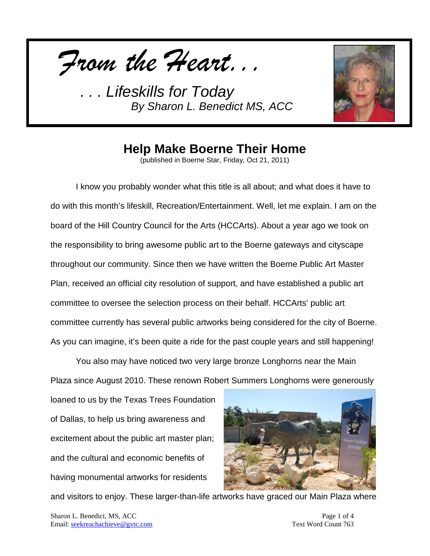*From the Heart...*



## **Help Make Boerne Their Home**

(published in Boerne Star, Friday, Oct 21, 2011)

I know you probably wonder what this title is all about; and what does it have to do with this month's lifeskill, Recreation/Entertainment. Well, let me explain. I am on the board of the Hill Country Council for the Arts (HCCArts). About a year ago we took on the responsibility to bring awesome public art to the Boerne gateways and cityscape throughout our community. Since then we have written the Boerne Public Art Master Plan, received an official city resolution of support, and have established a public art committee to oversee the selection process on their behalf. HCCArts' public art committee currently has several public artworks being considered for the city of Boerne. As you can imagine, it's been quite a ride for the past couple years and still happening!

You also may have noticed two very large bronze Longhorns near the Main Plaza since August 2010. These renown Robert Summers Longhorns were generously

loaned to us by the Texas Trees Foundation of Dallas, to help us bring awareness and excitement about the public art master plan; and the cultural and economic benefits of having monumental artworks for residents



and visitors to enjoy. These larger-than-life artworks have graced our Main Plaza where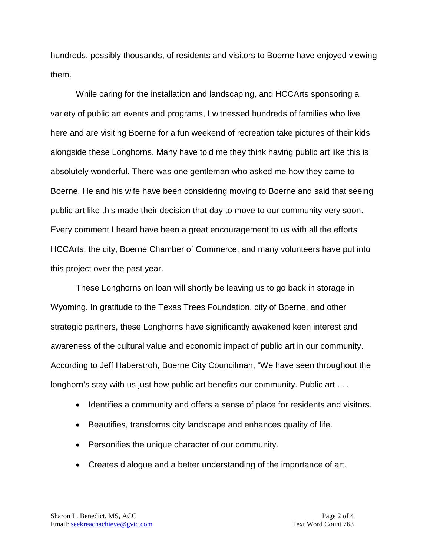hundreds, possibly thousands, of residents and visitors to Boerne have enjoyed viewing them.

While caring for the installation and landscaping, and HCCArts sponsoring a variety of public art events and programs, I witnessed hundreds of families who live here and are visiting Boerne for a fun weekend of recreation take pictures of their kids alongside these Longhorns. Many have told me they think having public art like this is absolutely wonderful. There was one gentleman who asked me how they came to Boerne. He and his wife have been considering moving to Boerne and said that seeing public art like this made their decision that day to move to our community very soon. Every comment I heard have been a great encouragement to us with all the efforts HCCArts, the city, Boerne Chamber of Commerce, and many volunteers have put into this project over the past year.

These Longhorns on loan will shortly be leaving us to go back in storage in Wyoming. In gratitude to the Texas Trees Foundation, city of Boerne, and other strategic partners, these Longhorns have significantly awakened keen interest and awareness of the cultural value and economic impact of public art in our community. According to Jeff Haberstroh, Boerne City Councilman, "We have seen throughout the longhorn's stay with us just how public art benefits our community. Public art . . .

- Identifies a community and offers a sense of place for residents and visitors.
- Beautifies, transforms city landscape and enhances quality of life.
- Personifies the unique character of our community.
- Creates dialogue and a better understanding of the importance of art.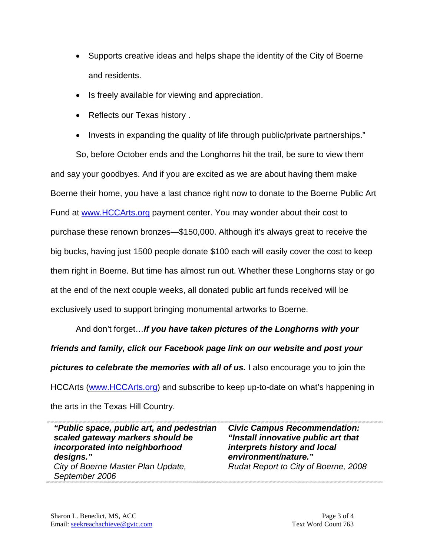- Supports creative ideas and helps shape the identity of the City of Boerne and residents.
- Is freely available for viewing and appreciation.
- Reflects our Texas history .
- Invests in expanding the quality of life through public/private partnerships."

So, before October ends and the Longhorns hit the trail, be sure to view them and say your goodbyes. And if you are excited as we are about having them make Boerne their home, you have a last chance right now to donate to the Boerne Public Art Fund at [www.HCCArts.org](http://www.hccarts.org/) payment center. You may wonder about their cost to purchase these renown bronzes—\$150,000. Although it's always great to receive the big bucks, having just 1500 people donate \$100 each will easily cover the cost to keep them right in Boerne. But time has almost run out. Whether these Longhorns stay or go at the end of the next couple weeks, all donated public art funds received will be exclusively used to support bringing monumental artworks to Boerne.

And don't forget…*If you have taken pictures of the Longhorns with your friends and family, click our Facebook page link on our website and post your pictures to celebrate the memories with all of us.* I also encourage you to join the HCCArts [\(www.HCCArts.org\)](http://www.hccarts.org/) and subscribe to keep up-to-date on what's happening in the arts in the Texas Hill Country.

*"Public space, public art, and pedestrian scaled gateway markers should be incorporated into neighborhood designs." City of Boerne Master Plan Update, September 2006*

*Civic Campus Recommendation: "Install innovative public art that interprets history and local environment/nature." Rudat Report to City of Boerne, 2008*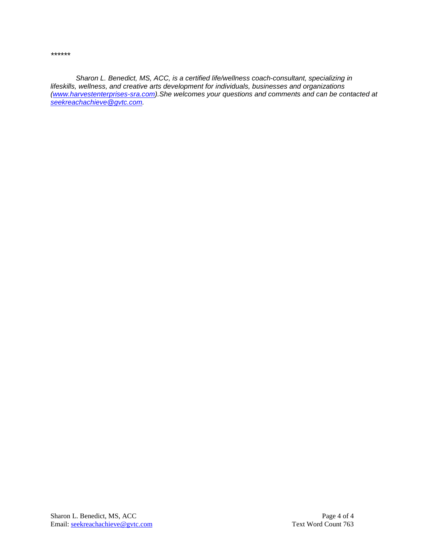*\*\*\*\*\*\**

*Sharon L. Benedict, MS, ACC, is a certified life/wellness coach-consultant, specializing in lifeskills, wellness, and creative arts development for individuals, businesses and organizations [\(www.harvestenterprises-sra.com\)](http://www.harvestenterprises-sra.com/).She welcomes your questions and comments and can be contacted at [seekreachachieve@gvtc.com.](mailto:seekreachachieve@gvtc.com)*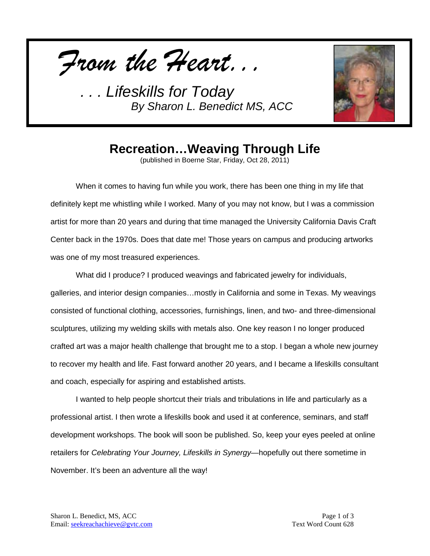



## **Recreation…Weaving Through Life**

(published in Boerne Star, Friday, Oct 28, 2011)

When it comes to having fun while you work, there has been one thing in my life that definitely kept me whistling while I worked. Many of you may not know, but I was a commission artist for more than 20 years and during that time managed the University California Davis Craft Center back in the 1970s. Does that date me! Those years on campus and producing artworks was one of my most treasured experiences.

What did I produce? I produced weavings and fabricated jewelry for individuals, galleries, and interior design companies…mostly in California and some in Texas. My weavings consisted of functional clothing, accessories, furnishings, linen, and two- and three-dimensional sculptures, utilizing my welding skills with metals also. One key reason I no longer produced crafted art was a major health challenge that brought me to a stop. I began a whole new journey to recover my health and life. Fast forward another 20 years, and I became a lifeskills consultant and coach, especially for aspiring and established artists.

I wanted to help people shortcut their trials and tribulations in life and particularly as a professional artist. I then wrote a lifeskills book and used it at conference, seminars, and staff development workshops. The book will soon be published. So, keep your eyes peeled at online retailers for *Celebrating Your Journey, Lifeskills in Synergy—*hopefully out there sometime in November. It's been an adventure all the way!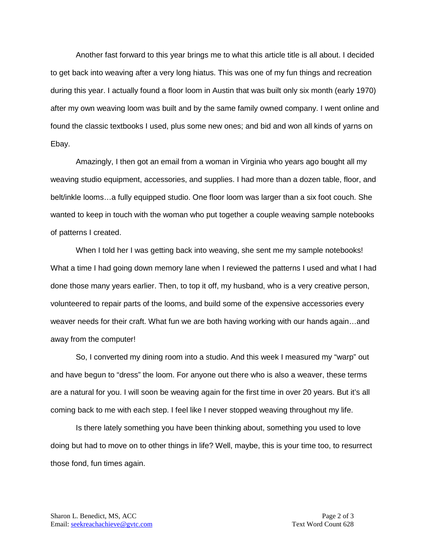Another fast forward to this year brings me to what this article title is all about. I decided to get back into weaving after a very long hiatus. This was one of my fun things and recreation during this year. I actually found a floor loom in Austin that was built only six month (early 1970) after my own weaving loom was built and by the same family owned company. I went online and found the classic textbooks I used, plus some new ones; and bid and won all kinds of yarns on Ebay.

Amazingly, I then got an email from a woman in Virginia who years ago bought all my weaving studio equipment, accessories, and supplies. I had more than a dozen table, floor, and belt/inkle looms…a fully equipped studio. One floor loom was larger than a six foot couch. She wanted to keep in touch with the woman who put together a couple weaving sample notebooks of patterns I created.

When I told her I was getting back into weaving, she sent me my sample notebooks! What a time I had going down memory lane when I reviewed the patterns I used and what I had done those many years earlier. Then, to top it off, my husband, who is a very creative person, volunteered to repair parts of the looms, and build some of the expensive accessories every weaver needs for their craft. What fun we are both having working with our hands again…and away from the computer!

So, I converted my dining room into a studio. And this week I measured my "warp" out and have begun to "dress" the loom. For anyone out there who is also a weaver, these terms are a natural for you. I will soon be weaving again for the first time in over 20 years. But it's all coming back to me with each step. I feel like I never stopped weaving throughout my life.

Is there lately something you have been thinking about, something you used to love doing but had to move on to other things in life? Well, maybe, this is your time too, to resurrect those fond, fun times again.